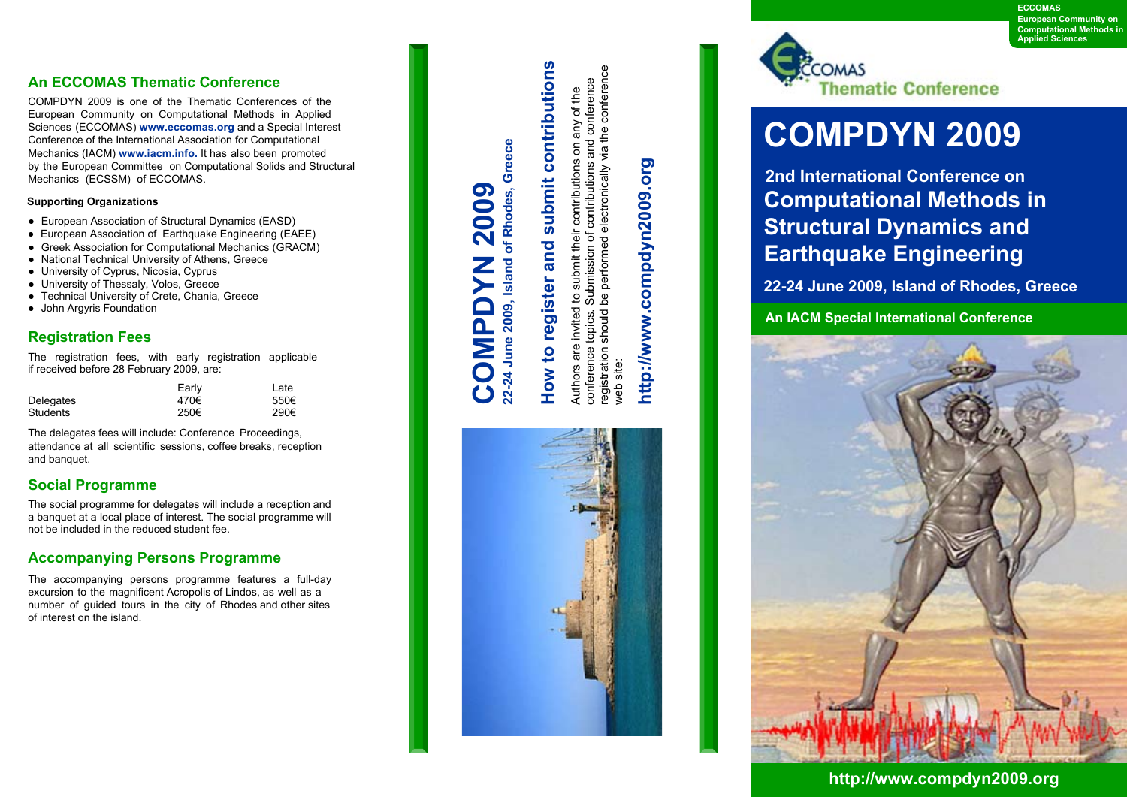**ECCOMAS European Community on Computational Methods in Applied Sciences**

#### **An ECCOMAS Thematic Conference**

COMPDYN 2009 is one of the Thematic Conferences of the European Community on Computational Methods in Applied Sciences (ECCOMAS) **www.eccomas.org** and a Special Interest Conference of the International Association for Computational Mechanics (IACM) **www.iacm.info.** It has also been promoted by the European Committee on Computational Solids and Structural Mechanics (ECSSM) of ECCOMAS.

#### **Supporting Organizations**

- European Association of Structural Dynamics (EASD)
- European Association of Earthquake Engineering (EAEE)
- Greek Association for Computational Mechanics (GRACM)
- National Technical University of Athens, Greece
- University of Cyprus, Nicosia, Cyprus
- University of Thessaly, Volos, Greece
- Technical University of Crete, Chania, Greece
- John Argyris Foundation

#### **Registration Fees**

The registration fees, with early registration applicable if received before 28 February 2009, are:

|           | Early | Late |
|-----------|-------|------|
| Delegates | 470€  | 550€ |
| Students  | 250€  | 290€ |

The delegates fees will include: Conference Proceedings, attendance at all scientific sessions, coffee breaks, reception and banquet.

#### **Social Programme**

The social programme for delegates will include a reception and a banquet at a local place of interest. The social programme will not be included in the reduced student fee.

#### **Accompanying Persons Programme**

The accompanying persons programme features a full-day excursion to the magnificent Acropolis of Lindos, as well as a number of guided tours in the city of Rhodes and other sites of interest on the island.

### **e c e 9, Island of Rhodes, Gre 2009** of Rhodes. **MPDYN** Island **20022-24 JuneOC**

## **Ho w to re gister and sub mit c o ntribution** <u>ທ</u>

registration should be performed electronically via the conference registration should be performed electronically via the conference and conference conference topics. Submission of contributions and conference any of the Authors are invited to submit their contributions on any of the submit their contributions on Submission of contributions invited to topics. are conference web site: Authors a web site:

# http://www.compdyn2009.org **http://www.compdyn2009.org**





## **COMPDYN 2009**

**Computational Methods in Structural Dynamics and Earthquake Engineering 2nd International Conference on**

**22-24 June 2009, Island of Rhodes, Greece**

**An IACM Special International Conference**



**http://www.compdyn2009.org**